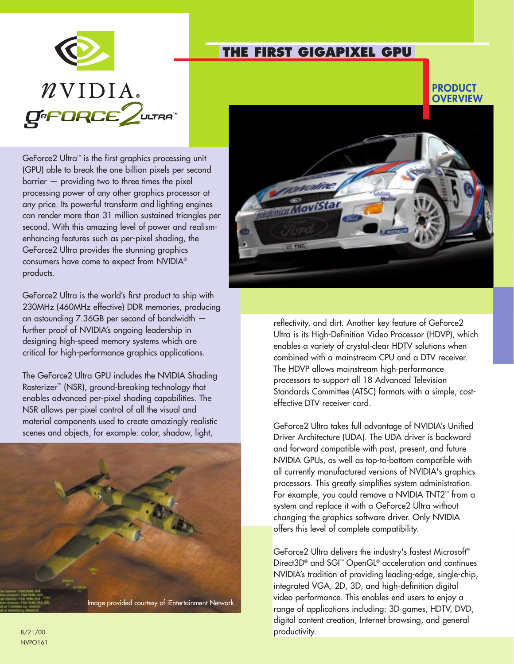

GeForce2 Ultra™ is the first graphics processing unit (GPU) able to break the one billion pixels per second barrier — providing two to three times the pixel processing power of any other graphics processor at any price. Its powerful transform and lighting engines can render more than 31 million sustained triangles per second. With this amazing level of power and realismenhancing features such as per-pixel shading, the GeForce2 Ultra provides the stunning graphics consumers have come to expect from NVIDIA® products.

GeForce2 Ultra is the world's first product to ship with 230MHz (460MHz effective) DDR memories, producing an astounding 7.36GB per second of bandwidth further proof of NVIDIA's ongoing leadership in designing high-speed memory systems which are critical for high-performance graphics applications.

The GeForce2 Ultra GPU includes the NVIDIA Shading Rasterizer™ (NSR), ground-breaking technology that enables advanced per-pixel shading capabilities. The NSR allows per-pixel control of all the visual and material components used to create amazingly realistic scenes and objects, for example: color, shadow, light,





**THE FIRST GIGAPIXEL GPU** 

reflectivity, and dirt. Another key feature of GeForce2 Ultra is its High-Definition Video Processor (HDVP), which enables a variety of crystal-clear HDTV solutions when combined with a mainstream CPU and a DTV receiver. The HDVP allows mainstream high-performance processors to support all 18 Advanced Television Standards Committee (ATSC) formats with a simple, costeffective DTV receiver card.

GeForce2 Ultra takes full advantage of NVIDIA's Unified Driver Architecture (UDA). The UDA driver is backward and forward compatible with past, present, and future NVIDIA GPUs, as well as top-to-bottom compatible with all currently manufactured versions of NVIDIA's graphics processors. This greatly simplifies system administration. For example, you could remove a NVIDIA TNT2™ from a system and replace it with a GeForce2 Ultra without changing the graphics software driver. Only NVIDIA offers this level of complete compatibility.

GeForce2 Ultra delivers the industry's fastest Microsoft® Direct3D® and SGI™ OpenGL® acceleration and continues NVIDIA's tradition of providing leading-edge, single-chip, integrated VGA, 2D, 3D, and high-definition digital video performance. This enables end users to enjoy a range of applications including: 3D games, HDTV, DVD, digital content creation, Internet browsing, and general productivity.

8/21/00 NVPO161